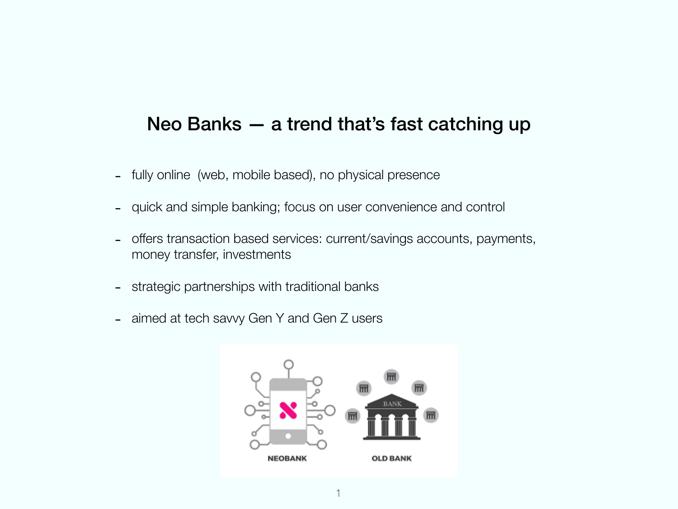#### Neo Banks — a trend that's fast catching up

- fully online (web, mobile based), no physical presence
- quick and simple banking; focus on user convenience and control
- offers transaction based services: current/savings accounts, payments, money transfer, investments
- strategic partnerships with traditional banks
- aimed at tech savvy Gen Y and Gen Z users

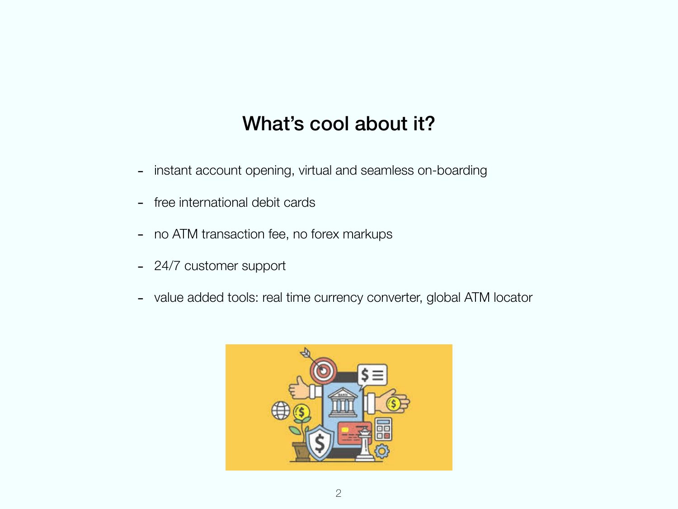# What's cool about it?

- instant account opening, virtual and seamless on-boarding
- free international debit cards
- no ATM transaction fee, no forex markups
- 24/7 customer support
- value added tools: real time currency converter, global ATM locator

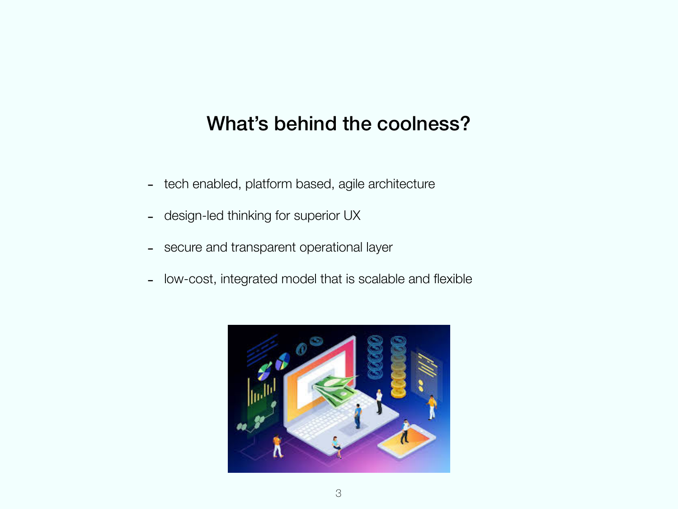## What's behind the coolness?

- tech enabled, platform based, agile architecture
- design-led thinking for superior UX
- secure and transparent operational layer
- low-cost, integrated model that is scalable and flexible

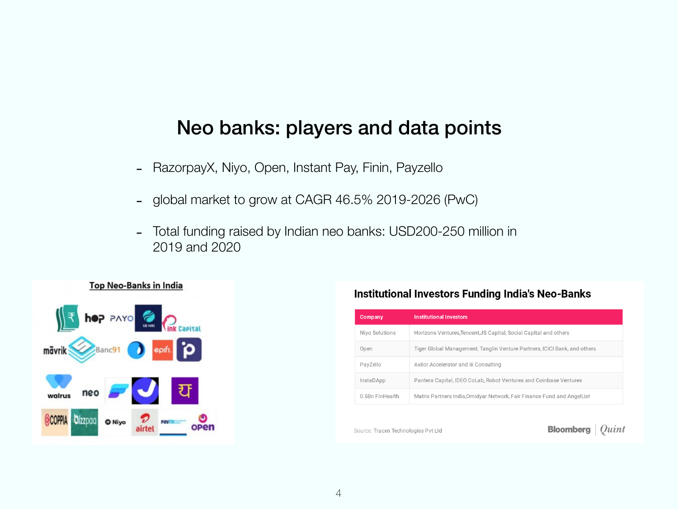### Neo banks: players and data points

- RazorpayX, Niyo, Open, Instant Pay, Finin, Payzello
- global market to grow at CAGR 46.5% 2019-2026 (PwC)
- Total funding raised by Indian neo banks: USD200-250 million in 2019 and 2020



#### **Institutional Investors Funding India's Neo-Banks**

| <b>Company</b>   | <b>Institutional Investors</b>                                            |
|------------------|---------------------------------------------------------------------------|
| Nivo Solutions   | Horizons Ventures, Tencent, JS Capital, Social Capital and others         |
| Open             | Tiger Global Management, Tanglin Venture Partners, ICICI Bank, and others |
| PayZello         | Axilor Accelerator and Iii Consulting                                     |
| <b>InstaDApp</b> | Pantera Capital, IDEO CoLab, Robot Ventures and Coinbase Ventures         |
| 0.5Bn FinHealth  | Matrix Partners India, Omidyar Network, Fair Finance Fund and AngelList   |

Source: Tracxn Technologies Pvt Ltd

**Bloomberg**  $\int$  Quint